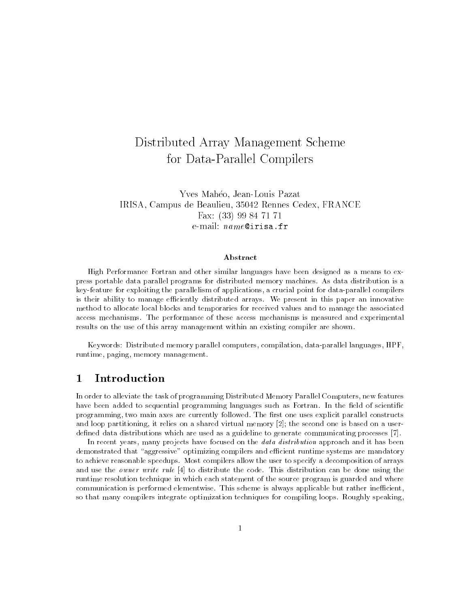# Distributed Array Management Scheme for Data-Parallel Compilers

Yves Maheo, Jean-Louis Pazat IRISA, Campus de Beaulieu, 35042 Rennes Cedex, FRANCE Fax: (33) 99 84 71 71 e-mail: name@irisa.fr

#### Abstract

High Performance Fortran and other similar languages have been designed as a means to express portable data parallel programs for distributed memory machines. As data distribution is a key-feature for exploiting the parallelism of applications, a crucial point for data-parallel compilers is their ability to manage efficiently distributed arrays. We present in this paper an innovative method to allocate local blocks and temporaries for received values and to manage the associated access mechanisms. The performance of these access mechanisms is measured and experimental results on the use of this array management within an existing compiler are shown.

Keywords: Distributed memory parallel computers, compilation, data-parallel languages, HPF, runtime, paging, memory management.

#### $\mathbf{1}$ **Introduction**

In order to alleviate the task of programming Distributed Memory Parallel Computers, new features have been added to sequential programming languages such as Fortran. In the field of scientific programming, two main axes are currently followed. The first one uses explicit parallel constructs and loop partitioning, it relies on a shared virtual memory [2]; the second one is based on a userdefined data distributions which are used as a guideline to generate communicating processes [7].

In recent years, many projects have focused on the *data distribution* approach and it has been demonstrated that "aggressive" optimizing compilers and efficient runtime systems are mandatory to achieve reasonable speedups. Most compilers allow the user to specify a decomposition of arrays and use the owner write rule [4] to distribute the code. This distribution can be done using the runtime resolution technique in which each statement of the source program is guarded and where communication is performed elementwise. This scheme is always applicable but rather inefficient, so that many compilers integrate optimization techniques for compiling loops. Roughly speaking,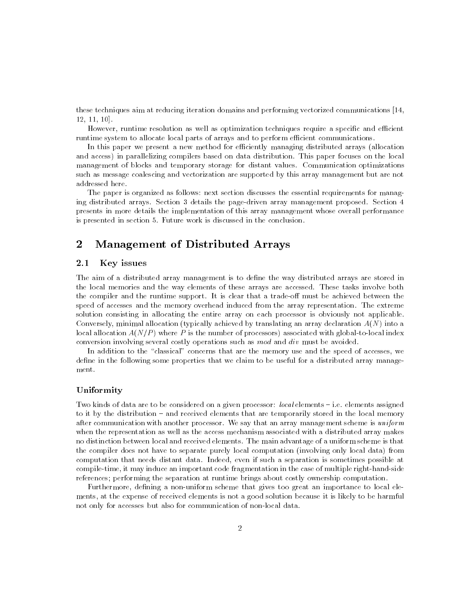these techniques aim at reducing iteration domains and performing vectorized communications [14, 12, 11, 10].

However, runtime resolution as well as optimization techniques require a specific and efficient runtime system to allocate local parts of arrays and to perform efficient communications.

In this paper we present a new method for efficiently managing distributed arrays (allocation and access) in parallelizing compilers based on data distribution. This paper focuses on the local management of blocks and temporary storage for distant values. Communication optimizations such as message coalescing and vectorization are supported by this array management but are not addressed here.

The paper is organized as follows: next section discusses the essential requirements for managing distributed arrays. Section 3 details the page-driven array management proposed. Section 4 presents in more details the implementation of this array management whose overall performance is presented in section 5. Future work is discussed in the conclusion.

#### $\overline{2}$ 2 Management of Distributed Arrays

#### $2.1$ Key issues

The aim of a distributed array management is to define the way distributed arrays are stored in the local memories and the way elements of these arrays are accessed. These tasks involve both the compiler and the runtime support. It is clear that a trade-off must be achieved between the speed of accesses and the memory overhead induced from the array representation. The extreme solution consisting in allocating the entire array on each processor is obviously not applicable. Conversely, minimal allocation (typically achieved by translating an array declaration  $A(N)$  into a local allocation  $A(N/P)$  where P is the number of processors) associated with global-to-local index conversion involving several costly operations such as mod and div must be avoided.

In addition to the "classical" concerns that are the memory use and the speed of accesses, we define in the following some properties that we claim to be useful for a distributed array management.

#### Uniformity

Two kinds of data are to be considered on a given processor:  $local$  elements  $-$  i.e. elements assigned to it by the distribution - and received elements that are temporarily stored in the local memory after communication with another processor. We say that an array management scheme is  $uniform$ when the representation as well as the access mechanism associated with a distributed array makes no distinction between local and received elements. The main advantage of a uniform scheme is that the compiler does not have to separate purely local computation (involving only local data) from computation that needs distant data. Indeed, even if such a separation is sometimes possible at compile-time, it may induce an important code fragmentation in the case of multiple right-hand-side references; performing the separation at runtime brings about costly ownership computation.

Furthermore, defining a non-uniform scheme that gives too great an importance to local elements, at the expense of received elements is not a good solution because it is likely to be harmful not only for accesses but also for communication of non-local data.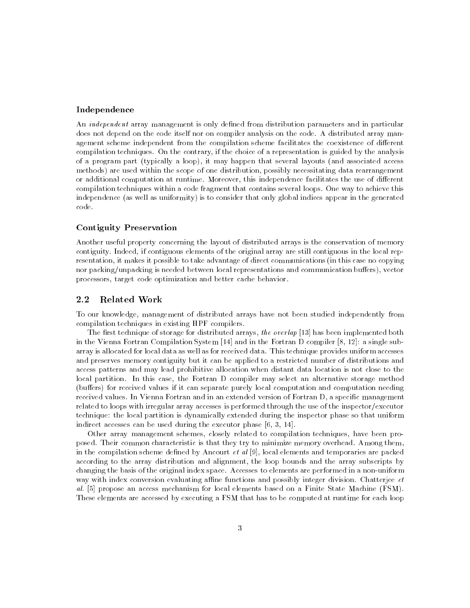## Independence

An *independent* array management is only defined from distribution parameters and in particular does not depend on the code itself nor on compiler analysis on the code. A distributed array management scheme independent from the compilation scheme facilitates the coexistence of different compilation techniques. On the contrary, if the choice of a representation is guided by the analysis of a program part (typically a loop), it may happen that several layouts (and associated access methods) are used within the scope of one distribution, possibly necessitating data rearrangement or additional computation at runtime. Moreover, this independence facilitates the use of different compilation techniques within a code fragment that contains several loops. One way to achieve this independence (as well as uniformity) is to consider that only global indices appear in the generated code.

### Contiguity Preservation

Another useful property concerning the layout of distributed arrays is the conservation of memory contiguity. Indeed, if contiguous elements of the original array are still contiguous in the local representation, it makes it possible to take advantage of direct communications (in this case no copying nor packing/unpacking is needed between local representations and communication buffers), vector processors, target code optimization and better cache behavior.

### 2.2 Related Work

To our knowledge, management of distributed arrays have not been studied independently from compilation techniques in existing HPF compilers.

The first technique of storage for distributed arrays, the overlap [13] has been implemented both in the Vienna Fortran Compilation System [14] and in the Fortran D compiler [8, 12]: a single subarray is allocated for local data as well as for received data. This technique provides uniform accesses and preserves memory contiguity but it can be applied to a restricted number of distributions and access patterns and may lead prohibitive allocation when distant data location is not close to the local partition. In this case, the Fortran D compiler may select an alternative storage method (buffers) for received values if it can separate purely local computation and computation needing received values. In Vienna Fortran and in an extended version of Fortran D, a specic management related to loops with irregular array accesses is performed through the use of the inspector/executor technique: the local partition is dynamically extended during the inspector phase so that uniform indirect accesses can be used during the executor phase [6, 3, 14].

Other array management schemes, closely related to compilation techniques, have been proposed. Their common characteristic is that they try to minimize memory overhead. Among them, in the compilation scheme defined by Ancourt  $et$  al [9], local elements and temporaries are packed according to the array distribution and alignment, the loop bounds and the array subscripts by changing the basis of the original index space. Accesses to elements are performed in a non-uniform way with index conversion evaluating affine functions and possibly integer division. Chatterjee  $et$ al. [5] propose an access mechanism for local elements based on a Finite State Machine (FSM). These elements are accessed by executing a FSM that has to be computed at runtime for each loop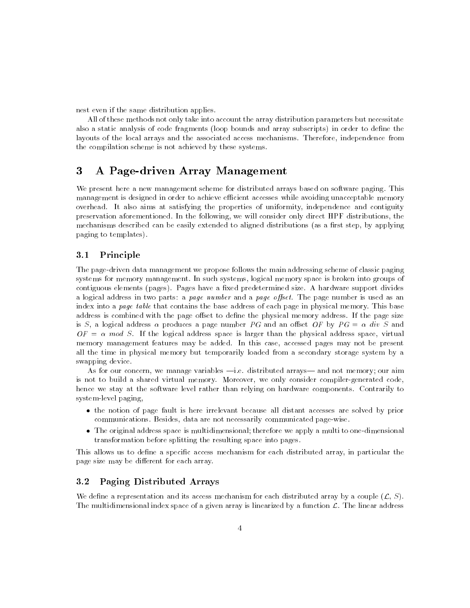nest even if the same distribution applies.

All of these methods not only take into account the array distribution parameters but necessitate also a static analysis of code fragments (loop bounds and array subscripts) in order to define the layouts of the local arrays and the associated access mechanisms. Therefore, independence from the compilation scheme is not achieved by these systems.

#### 3 3 A Page-driven Array Management

We present here a new management scheme for distributed arrays based on software paging. This management is designed in order to achieve efficient accesses while avoiding unacceptable memory overhead. It also aims at satisfying the properties of uniformity, independence and contiguity preservation aforementioned. In the following, we will consider only direct HPF distributions, the mechanisms described can be easily extended to aligned distributions (as a first step, by applying paging to templates).

#### $3.1$ **Principle**

The page-driven data management we propose follows the main addressing scheme of classic paging systems for memory management. In such systems, logical memory space is broken into groups of contiguous elements (pages). Pages have a fixed predetermined size. A hardware support divides a logical address in two parts: a page number and a page offset. The page number is used as an index into a page table that contains the base address of each page in physical memory. This base address is combined with the page offset to define the physical memory address. If the page size is S, a logical address  $\alpha$  produces a page number PG and an offset OF by PG =  $\alpha$  div S and  $OF = \alpha$  mod S. If the logical address space is larger than the physical address space, virtual memory management features may be added. In this case, accessed pages may not be present all the time in physical memory but temporarily loaded from a secondary storage system by a swapping device.

As for our concern, we manage variables  $-i.e.$  distributed arrays— and not memory; our aim is not to build a shared virtual memory. Moreover, we only consider compiler-generated code, hence we stay at the software level rather than relying on hardware components. Contrarily to system-level paging,

- the notion of page fault is here irrelevant because all distant accesses are solved by prior communications. Besides, data are not necessarily communicated page-wise.
- The original address space is multidimensional; therefore we apply a multi to one-dimensional transformation before splitting the resulting space into pages.

This allows us to define a specific access mechanism for each distributed array, in particular the page size may be different for each array.

## 3.2 Paging Distributed Arrays

We define a representation and its access mechanism for each distributed array by a couple  $(\mathcal{L}, S)$ . The multidimensional index space of a given array is linearized by a function  $\mathcal{L}$ . The linear address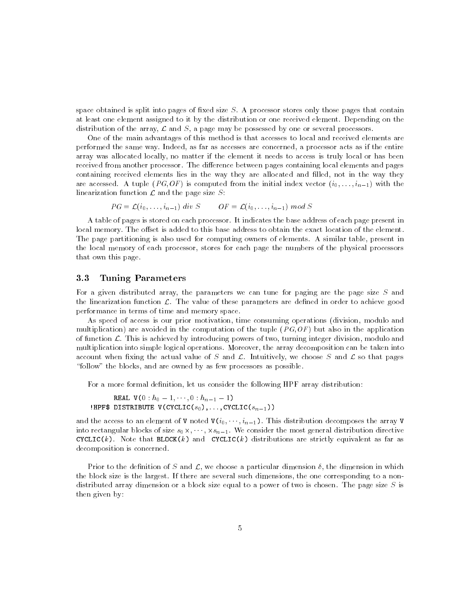space obtained is split into pages of fixed size  $S$ . A processor stores only those pages that contain at least one element assigned to it by the distribution or one received element. Depending on the distribution of the array,  $\mathcal L$  and  $S$ , a page may be possessed by one or several processors.

One of the main advantages of this method is that accesses to local and received elements are performed the same way. Indeed, as far as accesses are concerned, a processor acts as if the entire array was allocated locally, no matter if the element it needs to access is truly local or has been received from another processor. The difference between pages containing local elements and pages containing received elements lies in the way they are allocated and filled, not in the way they are accessed. A tuple (PG,OF) is computed from the initial index vector  $(i_0, \ldots, i_{n-1})$  with the linearization function  $\mathcal L$  and the page size  $S$ :

$$
PG = \mathcal{L}(i_0, \ldots, i_{n-1}) \ div S \qquad OF = \mathcal{L}(i_0, \ldots, i_{n-1}) \ mod S
$$

A table of pages is stored on each processor. It indicates the base address of each page present in local memory. The offset is added to this base address to obtain the exact location of the element. The page partitioning is also used for computing owners of elements. A similar table, present in the local memory of each processor, stores for each page the numbers of the physical processors that own this page.

## 3.3 Tuning Parameters

For a given distributed array, the parameters we can tune for paging are the page size S and the linearization function  $\mathcal{L}$ . The value of these parameters are defined in order to achieve good performance in terms of time and memory space.

As speed of access is our prior motivation, time consuming operations (division, modulo and multiplication) are avoided in the computation of the tuple  $(PG,OF)$  but also in the application of function  $\mathcal{L}$ . This is achieved by introducing powers of two, turning integer division, modulo and multiplication into simple logical operations. Moreover, the array decomposition can be taken into account when fixing the actual value of S and  $\mathcal{L}$ . Intuitively, we choose S and  $\mathcal{L}$  so that pages "follow" the blocks, and are owned by as few processors as possible.

For a more formal definition, let us consider the following HPF array distribution:

```
REAL V(0 : h_0 - 1, \dots, 0 : h_{n-1} - 1)!HPF$ DISTRIBUTE V(CYCLIC(s_0),\ldots,CYCLIC(s_{n-1}))
```
and the access to an element of V noted  $V(i_0, \dots, i_{n-1})$ . This distribution decomposes the array V  $\cdots$  . Into a state some solution of  $\{0,1,1,\ldots, n-1\}$  , and the most general distribution and  $\cdots$  and  $\cdots$  . CYCLIC(k). Note that BLOCK(k) and CYCLIC(k) distributions are strictly equivalent as far as decomposition is concerned.

Prior to the definition of S and  $\mathcal{L}$ , we choose a particular dimension  $\delta$ , the dimension in which the block size is the largest. If there are several such dimensions, the one corresponding to a nondistributed array dimension or a block size equal to a power of two is chosen. The page size S is then given by: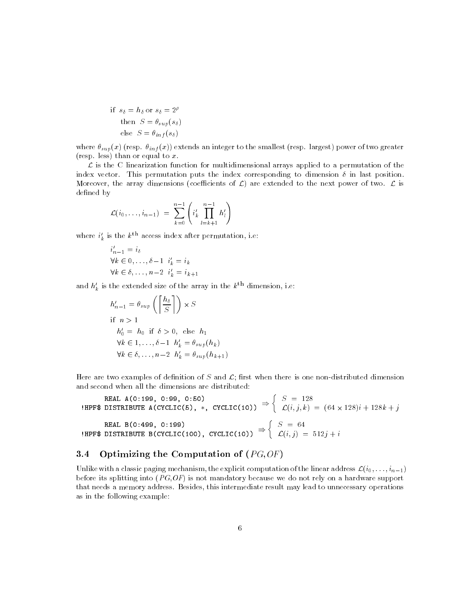if 
$$
s_{\delta} = h_{\delta}
$$
 or  $s_{\delta} = 2^{\rho}$   
then  $S = \theta_{sup}(s_{\delta})$   
else  $S = \theta_{inf}(s_{\delta})$ 

where  $\theta_{sup}(x)$  (resp.  $\theta_{inf}(x)$ ) extends an integer to the smallest (resp. largest) power of two greater (resp. less) than or equal to  $x$ .

 $\mathcal L$  is the C linearization function for multidimensional arrays applied to a permutation of the index vector. This permutation puts the index corresponding to dimension  $\delta$  in last position. Moreover, the array dimensions (coefficients of  $\mathcal{L}$ ) are extended to the next power of two.  $\mathcal{L}$  is defined by

$$
\mathcal{L}(i_0,\ldots,i_{n-1}) = \sum_{k=0}^{n-1} \left( i'_k \prod_{l=k+1}^{n-1} h'_l \right)
$$

where  $i_k$  is the  $k \sim$  access index after permutation, i.e:

$$
i'_{n-1} = i_{\delta}
$$
  
\n
$$
\forall k \in 0, \dots, \delta - 1 \quad i'_{k} = i_{k}
$$
  
\n
$$
\forall k \in \delta, \dots, n-2 \quad i'_{k} = i_{k+1}
$$

and  $h'_k$  is the extended size of the array in the  $k^{\text{th}}$  dimension, i.e:

$$
h'_{n-1} = \theta_{sup} \left( \left\lceil \frac{h_{\delta}}{S} \right\rceil \right) \times S
$$
  
if  $n > 1$   
 $h'_{0} = h_{0}$  if  $\delta > 0$ , else  $h_{1}$   
 $\forall k \in 1, ..., \delta - 1$   $h'_{k} = \theta_{sup}(h_{k})$   
 $\forall k \in \delta, ..., n-2$   $h'_{k} = \theta_{sup}(h_{k+1})$ 

Here are two examples of definition of S and  $\mathcal{L}$ ; first when there is one non-distributed dimension and second when all the dimensions are distributed:

HPF\$ DISTRIBUTE A(CYCLIC(5), \*, CYCLIC(10))  $\Rightarrow$   $\Big\{ C(i)$  $S = 128$ L(i; j; k) = (64 - 128)i + 128k + j **HPF\$ DISTRIBUTE B(CYCLIC(100), CYCLIC(10))**  $\Rightarrow$   $\begin{cases} C(i) \end{cases}$  $S = 64$ L(i; j) = 512j + i

## 3.4 Optimizing the Computation of  $(PG, OF)$

Unlike with a classic paging mechanism, the explicit computation of the linear address  $\mathcal{L}(i_0,\ldots,i_{n-1})$ before its splitting into  $(PG, OF)$  is not mandatory because we do not rely on a hardware support that needs a memory address. Besides, this intermediate result may lead to unnecessary operations as in the following example: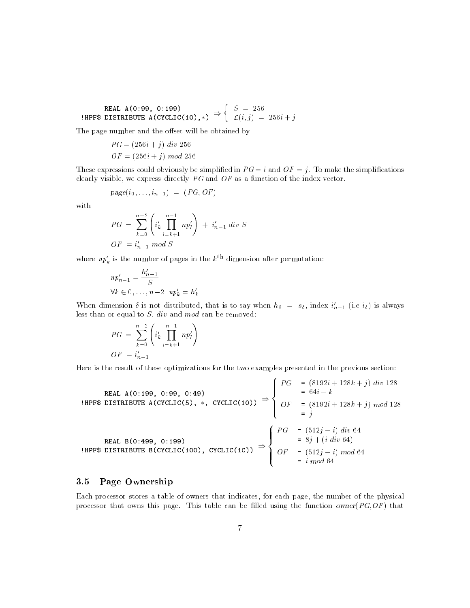REAL A(0:99, 0:199) 
$$
\text{HPF$ DISTRIBUTE A(CYCLIC(10),*)} \Rightarrow \begin{cases} S = 256 \\ \mathcal{L}(i,j) = 256i + j \end{cases}
$$

The page number and the offset will be obtained by

$$
PG = (256i + j) \ div 256
$$

$$
OF = (256i + j) \ mod 256
$$

These expressions could obviously be simplified in  $PG = i$  and  $OF = j$ . To make the simplifications clearly visible, we express directly PG and OF as a function of the index vector.

$$
page(i_0, \ldots, i_{n-1}) = (PG, OF)
$$

with

$$
PG = \sum_{k=0}^{n-2} \left( i'_k \prod_{l=k+1}^{n-1} n p'_l \right) + i'_{n-1} \, div \, S
$$
  

$$
OF = i'_{n-1} \, mod \, S
$$

where  $np'_k$  is the number of pages in the  $k^{\text{th}}$  dimension after permutation:

$$
np'_{n-1} = \frac{h'_{n-1}}{S}
$$
  

$$
\forall k \in 0, \dots, n-2 \quad np'_k = h'_k
$$

when dimension *o* is not distributed, that is to say when  $n_{\delta} = s_{\delta}$ , index  $i_{n-1}$  (i.e  $i_{\delta}$ ) is always less than or equal to  $S$ , div and mod can be removed:

$$
PG = \sum_{k=0}^{n-2} \left( i'_k \prod_{l=k+1}^{n-1} n p'_l \right)
$$
  

$$
OF = i'_{n-1}
$$

Here is the result of these optimizations for the two examples presented in the previous section:

HPF\$ DISTRIBUTE A(CYCLIC(5), \*, CYCLIC(10))  $\Rightarrow$   $\left\{$  OF and the state of the state of the state of the state of the state of the state of the state of the state of the  $\mathbb{R}^{\mathbb{Z} \times \mathbb{Z}}$  $\begin{bmatrix} 0 & 1 \\ 0 & 1 \end{bmatrix}$ PG = (8192i + 128k + j) div 128 = 64i + k  $\blacksquare$  $\sim$  just the just that  $\sim$ HPF\$ DISTRIBUTE B(CYCLIC(100), CYCLIC(10))  $\Rightarrow$   $\left\{$  OF the contract of the contract of the contract of the contract of the contract of the contract of the contract of  $\mathbb{R}^{n\times n}$  $\begin{bmatrix} 0 & 1 \\ 0 & 1 \end{bmatrix}$ PG = (512j + i) div 64 = 8j + (i div 64)  $\blacksquare$  . The first state of the first state of the first state of the first state of the first state of the first state of the first state of the first state of the first state of the first state of the first state of the

#### 3.5 Page Ownership

Each processor stores a table of owners that indicates, for each page, the number of the physical processor that owns this page. This table can be filled using the function owner( $PG, OF$ ) that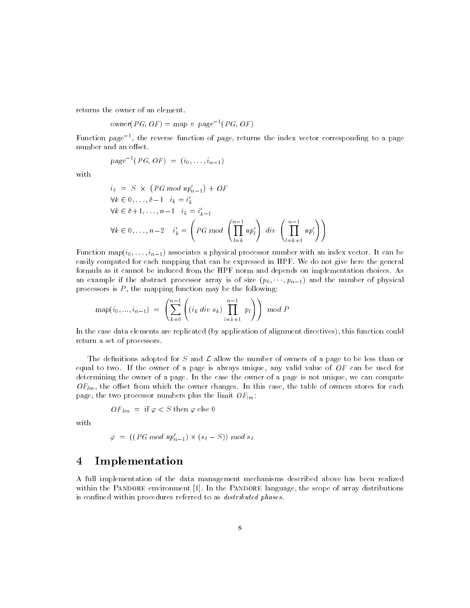returns the owner of an element.

$$
owner(PG, OF) = map \circ page^{-1}(PG, OF)
$$

Function *page* +, the reverse function of *page*, returns the index vector corresponding to a page number and an offset.

$$
page^{-1}(PG, OF) = (i_0, \ldots, i_{n-1})
$$

with

$$
i_{\delta} = S \times (PG \mod np'_{n-1}) + OF
$$
  
\n
$$
\forall k \in 0, ..., \delta-1 \quad i_{k} = i'_{k}
$$
  
\n
$$
\forall k \in \delta+1, ..., n-1 \quad i_{k} = i'_{k-1}
$$
  
\n
$$
\forall k \in 0, ..., n-2 \quad i'_{k} = \left(PG \mod \left(\prod_{l=k}^{n-1} np'_{l}\right) \, div \, \left(\prod_{l=k+1}^{n-1} np'_{l}\right)\right)
$$

Function  $map(i_0, \ldots, i_{n-1})$  associates a physical processor number with an index vector. It can be easily computed for each mapping that can be expressed in HPF. We do not give here the general formula as it cannot be induced from the HPF norm and depends on implementation choices. As an example if the abstract processor array is of size  $(p_0, \dots, p_{n-1})$  and the number of physical processors is  $P$ , the mapping function may be the following:

$$
map(i_0, ..., i_{n-1}) = \left(\sum_{k=0}^{n-1} \left( (i_k \ div \ s_k) \prod_{l=k+1}^{n-1} p_l \right) \right) \ mod \ P
$$

In the case data elements are replicated (by application of alignment directives), this function could return a set of processors.

The definitions adopted for S and  $\mathcal L$  allow the number of owners of a page to be less than or equal to two. If the owner of a page is always unique, any valid value of  $OF$  can be used for determining the owner of a page. In the case the owner of a page is not unique, we can compute  $OF_{lm}$ , the offset from which the owner changes. In this case, the table of owners stores for each page, the two processor numbers plus the limit  $OF_{lm}$ :

$$
OF_{lm} = \text{ if } \varphi < S \text{ then } \varphi \text{ else } 0
$$

with

$$
\varphi = ((PG \ mod \ np'_{n-1}) \times (s_{\delta} - S)) \ mod \ s_{\delta}
$$

## 4 Implementation

A full implementation of the data management mechanisms described above has been realized within the PANDORE environment [1]. In the PANDORE language, the scope of array distributions is confined within procedures referred to as *distributed phases*.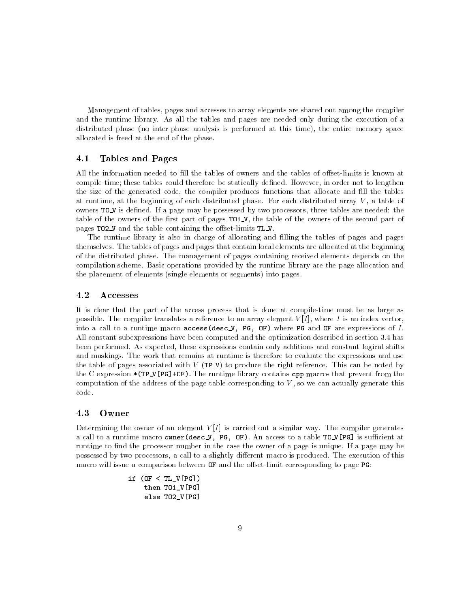Management of tables, pages and accesses to array elements are shared out among the compiler and the runtime library. As all the tables and pages are needed only during the execution of a distributed phase (no inter-phase analysis is performed at this time), the entire memory space allocated is freed at the end of the phase.

## 4.1 Tables and Pages

All the information needed to fill the tables of owners and the tables of offset-limits is known at compile-time; these tables could therefore be statically defined. However, in order not to lengthen the size of the generated code, the compiler produces functions that allocate and fill the tables at runtime, at the beginning of each distributed phase. For each distributed array V , a table of owners TO\_V is defined. If a page may be possessed by two processors, three tables are needed: the table of the owners of the first part of pages TO1\_V, the table of the owners of the second part of pages TO2\_V and the table containing the offset-limits TL\_V.

The runtime library is also in charge of allocating and filling the tables of pages and pages themselves. The tables of pages and pages that contain local elements are allocated at the beginning of the distributed phase. The management of pages containing received elements depends on the compilation scheme. Basic operations provided by the runtime library are the page allocation and the placement of elements (single elements or segments) into pages.

### 4.2 Accesses

It is clear that the part of the access process that is done at compile-time must be as large as possible. The compiler translates a reference to an array element  $V[I]$ , where I is an index vector, into a call to a runtime macro  $access(desc_V, PG, OF)$  where PG and OF are expressions of I. All constant subexpressions have been computed and the optimization described in section 3.4 has been performed. As expected, these expressions contain only additions and constant logical shifts and maskings. The work that remains at runtime is therefore to evaluate the expressions and use the table of pages associated with  $V$  (TP\_V) to produce the right reference. This can be noted by the C expression  $*(TP_V[PG]+OF)$ . The runtime library contains cpp macros that prevent from the computation of the address of the page table corresponding to  $V$ , so we can actually generate this code.

Determining the owner of an element  $V[I]$  is carried out a similar way. The compiler generates a call to a runtime macro owner(desc V, PG, OF). An access to a table  $TO_V[PG]$  is sufficient at runtime to find the processor number in the case the owner of a page is unique. If a page may be possessed by two processors, a call to a slightly dierent macro is produced. The execution of this macro will issue a comparison between  $\sigma$ F and the offset-limit corresponding to page PG:

```
if (OF < TL_V[PG])
then TO1_V[PG]
 else TO2_V[PG]
```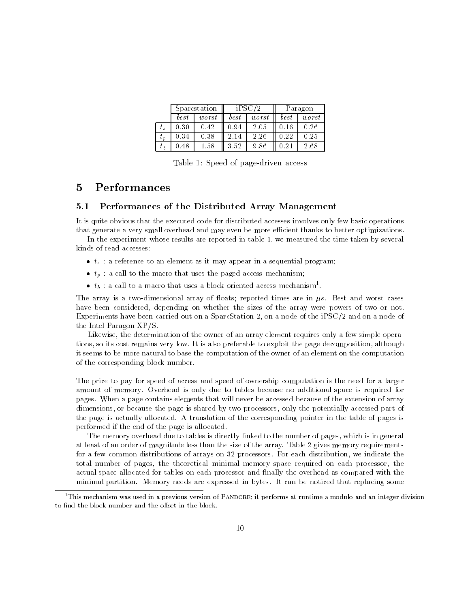| Sparcstation |          | iPSC/2 |       | Paragon |       |
|--------------|----------|--------|-------|---------|-------|
| best         | worst    | best   | worst | best    | worst |
| 0.30         | 0.42     | 0.94   | 2.05  |         | 0.26  |
| 0.34         | 0.38     | 2.14   | 2.26  | 0.22    | 0.25  |
| 0.48         | $1.58\,$ | 3.52   |       |         | 2.68  |

Table 1: Speed of page-driven access

#### $\overline{5}$ 5 Performances

#### $5.1$ Performances of the Distributed Array Management

It is quite obvious that the executed code for distributed accesses involves only few basic operations that generate a very small overhead and may even be more efficient thanks to better optimizations.

In the experiment whose results are reported in table 1, we measured the time taken by several kinds of read accesses:

- $\bullet$   $t_s$ : a reference to an element as it may appear in a sequential program;
- $\bullet$   $t_p$ : a call to the macro that uses the paged access mechanism;
- $\bullet$   $\iota_b$  : a call to a macro that uses a block-oriented access mechanism-.

The array is a two-dimensional array of floats; reported times are in  $\mu s$ . Best and worst cases have been considered, depending on whether the sizes of the array were powers of two or not. Experiments have been carried out on a SparcStation 2, on a node of the iPSC/2 and on a node of the Intel Paragon XP/S.

Likewise, the determination of the owner of an array element requires only a few simple operations, so its cost remains very low. It is also preferable to exploit the page decomposition, although it seems to be more natural to base the computation of the owner of an element on the computation of the corresponding block number.

The price to pay for speed of access and speed of ownership computation is the need for a larger amount of memory. Overhead is only due to tables because no additional space is required for pages. When a page contains elements that will never be accessed because of the extension of array dimensions, or because the page is shared by two processors, only the potentially accessed part of the page is actually allocated. A translation of the corresponding pointer in the table of pages is performed if the end of the page is allocated.

The memory overhead due to tables is directly linked to the number of pages, which is in general at least of an order of magnitude less than the size of the array. Table 2 gives memory requirements for a few common distributions of arrays on 32 processors. For each distribution, we indicate the total number of pages, the theoretical minimal memory space required on each processor, the actual space allocated for tables on each processor and nally the overhead as compared with the minimal partition. Memory needs are expressed in bytes. It can be noticed that replacing some

<sup>1</sup>This mechanism was used in a previous version of Pandore; it performs at runtime a modulo and an integer division to find the block number and the offset in the block.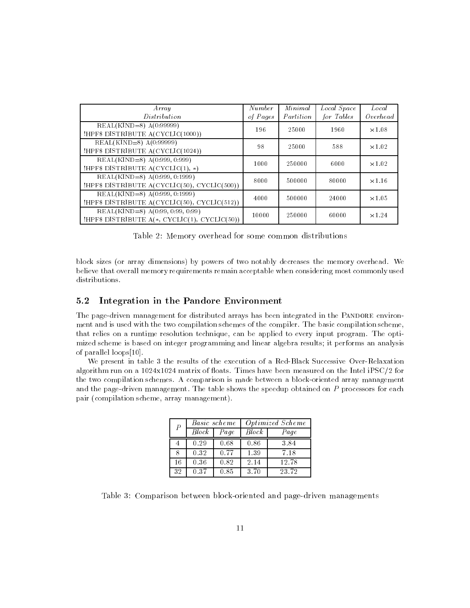| $A$ rray<br>Distribution                                                                 | Number<br>of Pages | Minimal<br>Partition | Local Space<br>for Tables | Local<br>$O$ verhead |
|------------------------------------------------------------------------------------------|--------------------|----------------------|---------------------------|----------------------|
| $REAL(KIND=8)$ $A(0:99999)$<br>!HPF\$ DISTRIBUTE A(CYCLIC(1000))                         | 196                | 25000                | 1960                      | $\times$ 1.08        |
| $REAL(KIND=8) A(0:99999)$<br>!HPF\$ DISTRIBUTE A(CYCLIC(1024))                           | 98                 | 25000                | 588                       | $\times$ 1.02        |
| REAL(KIND=8) A(0:999, 0:999)<br>!HPF\$ DISTRIBUTE $A(CYCLIC(1), *)$                      | 1000               | 250000               | 6000                      | $\times1.02$         |
| $REAL(KIND=8)$ A $(0:999, 0:1999)$<br>!HPF\$ DISTRIBUTE $A(CYCLIC(50), CYCLIC(500))$     | 8000               | 500000               | 80000                     | $\times1.16$         |
| REAL(KIND=8) A(0:999, 0:1999)<br>!HPF\$ DISTRIBUTE $A(CYCLIC(50), CYCLIC(512))$          | 4000               | 500000               | 24000                     | $\times$ 1.05        |
| $REAL(KIND=8)$ A $(0.99, 0.99, 0.99)$<br>!HPF\$ DISTRIBUTE $A(*, CYCLIC(1), CYCLIC(50))$ | 10000              | 250000               | 60000                     | $\times$ 1.24        |

Table 2: Memory overhead for some common distributions

block sizes (or array dimensions) by powers of two notably decreases the memory overhead. We believe that overall memory requirements remain acceptable when considering most commonly used distributions.

## 5.2 Integration in the Pandore Environment

The page-driven management for distributed arrays has been integrated in the PANDORE environment and is used with the two compilation schemes of the compiler. The basic compilation scheme, that relies on a runtime resolution technique, can be applied to every input program. The optimized scheme is based on integer programming and linear algebra results; it performs an analysis of parallel loops[10].

We present in table 3 the results of the execution of a Red-Black Successive Over-Relaxation algorithm run on a  $1024x1024$  matrix of floats. Times have been measured on the Intel iPSC/2 for the two compilation schemes. A comparison is made between a block-oriented array management and the page-driven management. The table shows the speedup obtained on  $P$  processors for each pair (compilation scheme, array management).

| $\boldsymbol{P}$ |       | Basic scheme | <i>Optimized Scheme</i> |       |  |
|------------------|-------|--------------|-------------------------|-------|--|
|                  | Block | Page         | <b>Block</b>            | Page  |  |
|                  | 0.29  | 0.68         | 0.86                    | 3.84  |  |
| 8                | 0.32  | 0.77         | 1.39                    | 7.18  |  |
| 16               | 0.36  | 0.82         | 2.14                    | 12.78 |  |
| 32               | 0.37  | 0.85         | 3.70                    | 23.72 |  |

Table 3: Comparison between block-oriented and page-driven managements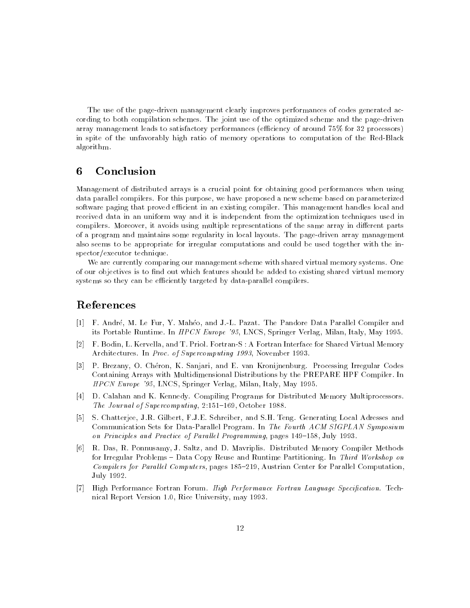The use of the page-driven management clearly improves performances of codes generated according to both compilation schemes. The joint use of the optimized scheme and the page-driven array management leads to satisfactory performances (efficiency of around 75% for 32 processors) in spite of the unfavorably high ratio of memory operations to computation of the Red-Black algorithm.

#### 6 **Conclusion**

Management of distributed arrays is a crucial point for obtaining good performances when using data parallel compilers. For this purpose, we have proposed a new scheme based on parameterized software paging that proved efficient in an existing compiler. This management handles local and received data in an uniform way and it is independent from the optimization techniques used in compilers. Moreover, it avoids using multiple representations of the same array in different parts of a program and maintains some regularity in local layouts. The page-driven array management also seems to be appropriate for irregular computations and could be used together with the inspector/executor technique.

We are currently comparing our management scheme with shared virtual memory systems. One of our objectives is to find out which features should be added to existing shared virtual memory systems so they can be efficiently targeted by data-parallel compilers.

## References

- [1] F. Andre, M. Le Fur, Y. Maheo, and J.-L. Pazat. The Pandore Data Parallel Compiler and its Portable Runtime. In HPCN Europe '95, LNCS, Springer Verlag, Milan, Italy, May 1995.
- [2] F. Bodin, L. Kervella, and T. Priol. Fortran-S : A Fortran Interface for Shared Virtual Memory Architectures. In Proc. of Supercomputing 1993, November 1993.
- [3] P. Brezany, O. Cheron, K. Sanjari, and E. van Kronijnenburg. Processing Irregular Codes Containing Arrays with Multidimensional Distributions by the PREPARE HPF Compiler. In HPCN Europe '95, LNCS, Springer Verlag, Milan, Italy, May 1995.
- [4] D. Calahan and K. Kennedy. Compiling Programs for Distributed Memory Multiprocessors. The Journal of Supercomputing, 2:151-169, October 1988.
- [5] S. Chatterjee, J.R. Gilbert, F.J.E. Schreiber, and S.H. Teng. Generating Local Adresses and Communication Sets for Data-Parallel Program. In The Fourth ACM SIGPLAN Symposium on Principles and Practice of Parallel Programming, pages  $149-158$ , July 1993.
- [6] R. Das, R. Ponnusamy, J. Saltz, and D. Mavriplis. Distributed Memory Compiler Methods for Irregular Problems – Data Copy Reuse and Runtime Partitioning. In Third Workshop on Compilers for Parallel Computers, pages 185-219, Austrian Center for Parallel Computation, July 1992.
- [7] High Performance Fortran Forum. High Performance Fortran Language Specication. Technical Report Version 1.0, Rice University, may 1993.